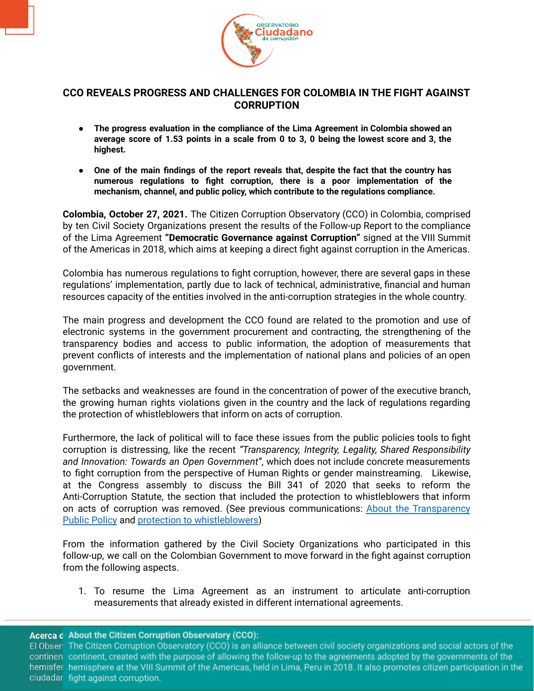

## **CCO REVEALS PROGRESS AND CHALLENGES FOR COLOMBIA IN THE FIGHT AGAINST CORRUPTION**

- **● The progress evaluation in the compliance of the Lima Agreement in Colombia showed an** average score of 1.53 points in a scale from 0 to 3, 0 being the lowest score and 3, the **highest.**
- **● One of the main findings of the report reveals that, despite the fact that the country has numerous regulations to fight corruption, there is a poor implementation of the mechanism, channel, and public policy, which contribute to the regulations compliance.**

**Colombia, October 27, 2021.** The Citizen Corruption Observatory (CCO) in Colombia, comprised by ten Civil Society Organizations present the results of the Follow-up Report to the compliance of the Lima Agreement **"Democratic Governance against Corruption"** signed at the VIII Summit of the Americas in 2018, which aims at keeping a direct fight against corruption in the Americas.

Colombia has numerous regulations to fight corruption, however, there are several gaps in these regulations' implementation, partly due to lack of technical, administrative, financial and human resources capacity of the entities involved in the anti-corruption strategies in the whole country.

The main progress and development the CCO found are related to the promotion and use of electronic systems in the government procurement and contracting, the strengthening of the transparency bodies and access to public information, the adoption of measurements that prevent conflicts of interests and the implementation of national plans and policies of an open government.

The setbacks and weaknesses are found in the concentration of power of the executive branch, the growing human rights violations given in the country and the lack of regulations regarding the protection of whistleblowers that inform on acts of corruption.

Furthermore, the lack of political will to face these issues from the public policies tools to fight corruption is distressing, like the recent *"Transparency, Integrity, Legality, Shared Responsibility and Innovation: Towards an Open Government"*, which does not include concrete measurements to fight corruption from the perspective of Human Rights or gender mainstreaming. Likewise, at the Congress assembly to discuss the Bill 341 of 2020 that seeks to reform the Anti-Corruption Statute, the section that included the protection to whistleblowers that inform on acts of corruption was removed. (See previous communications: About the [Transparency](https://transparenciacolombia.org.co/2021/09/15/comentarios-al-borrador-del-conpes/) [Public](https://transparenciacolombia.org.co/2021/09/15/comentarios-al-borrador-del-conpes/) Policy and protection to [whistleblowers](https://transparenciacolombia.org.co/2021/06/17/congreso-vuelve-a-fallar-en-proteger-a-denunciantes-de-corrupcion/))

From the information gathered by the Civil Society Organizations who participated in this follow-up, we call on the Colombian Government to move forward in the fight against corruption from the following aspects.

1. To resume the Lima Agreement as an instrument to articulate anti-corruption measurements that already existed in different international agreements.

Acerca d About the Citizen Corruption Observatory (CCO): El Obser The Citizen Corruption Observatory (CCO) is an alliance between civil society organizations and social actors of the continen continent, created with the purpose of allowing the follow-up to the agreements adopted by the governments of the hemisfer hemisphere at the VIII Summit of the Americas, held in Lima, Peru in 2018. It also promotes citizen participation in the ciudadar fight against corruption.